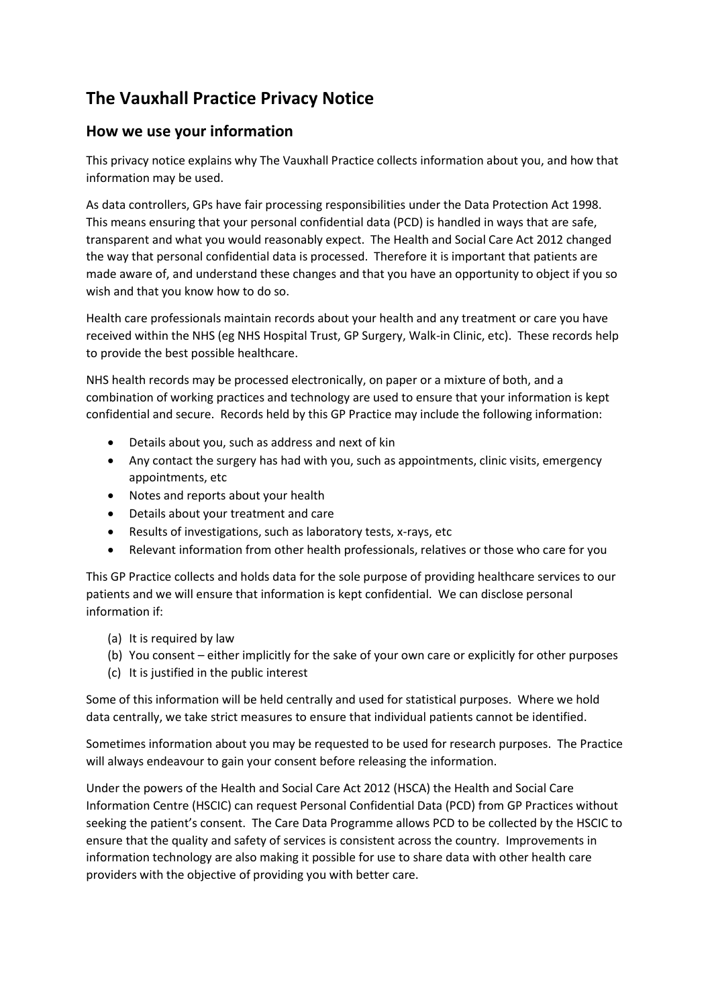# **The Vauxhall Practice Privacy Notice**

### **How we use your information**

This privacy notice explains why The Vauxhall Practice collects information about you, and how that information may be used.

As data controllers, GPs have fair processing responsibilities under the Data Protection Act 1998. This means ensuring that your personal confidential data (PCD) is handled in ways that are safe, transparent and what you would reasonably expect. The Health and Social Care Act 2012 changed the way that personal confidential data is processed. Therefore it is important that patients are made aware of, and understand these changes and that you have an opportunity to object if you so wish and that you know how to do so.

Health care professionals maintain records about your health and any treatment or care you have received within the NHS (eg NHS Hospital Trust, GP Surgery, Walk-in Clinic, etc). These records help to provide the best possible healthcare.

NHS health records may be processed electronically, on paper or a mixture of both, and a combination of working practices and technology are used to ensure that your information is kept confidential and secure. Records held by this GP Practice may include the following information:

- Details about you, such as address and next of kin
- Any contact the surgery has had with you, such as appointments, clinic visits, emergency appointments, etc
- Notes and reports about your health
- Details about your treatment and care
- Results of investigations, such as laboratory tests, x-rays, etc
- Relevant information from other health professionals, relatives or those who care for you

This GP Practice collects and holds data for the sole purpose of providing healthcare services to our patients and we will ensure that information is kept confidential. We can disclose personal information if:

- (a) It is required by law
- (b) You consent either implicitly for the sake of your own care or explicitly for other purposes
- (c) It is justified in the public interest

Some of this information will be held centrally and used for statistical purposes. Where we hold data centrally, we take strict measures to ensure that individual patients cannot be identified.

Sometimes information about you may be requested to be used for research purposes. The Practice will always endeavour to gain your consent before releasing the information.

Under the powers of the Health and Social Care Act 2012 (HSCA) the Health and Social Care Information Centre (HSCIC) can request Personal Confidential Data (PCD) from GP Practices without seeking the patient's consent. The Care Data Programme allows PCD to be collected by the HSCIC to ensure that the quality and safety of services is consistent across the country. Improvements in information technology are also making it possible for use to share data with other health care providers with the objective of providing you with better care.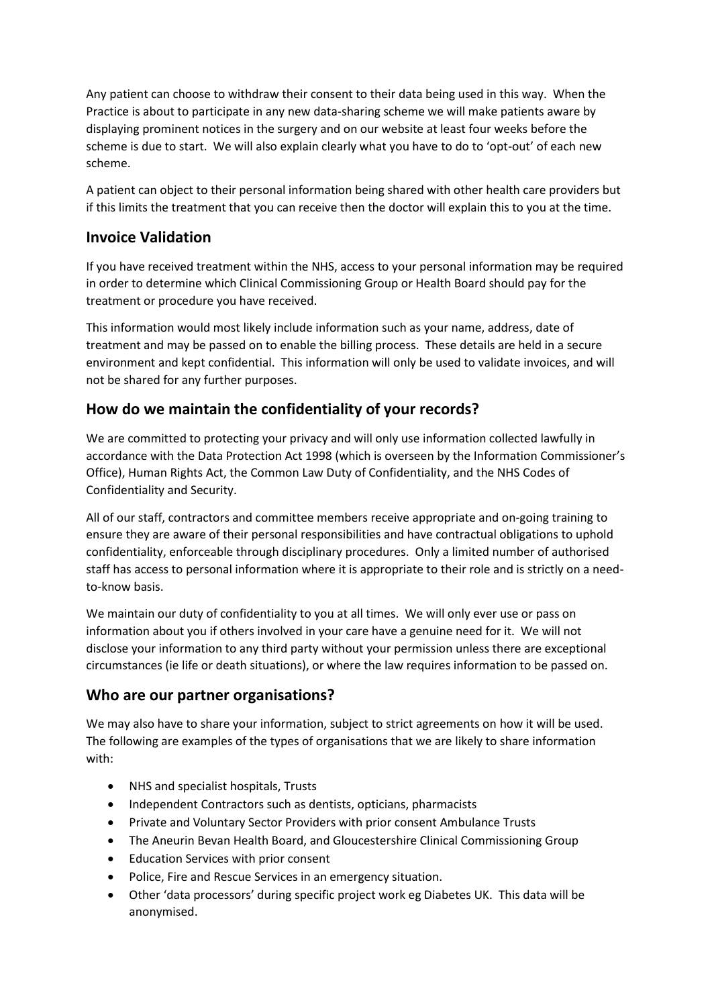Any patient can choose to withdraw their consent to their data being used in this way. When the Practice is about to participate in any new data-sharing scheme we will make patients aware by displaying prominent notices in the surgery and on our website at least four weeks before the scheme is due to start. We will also explain clearly what you have to do to 'opt-out' of each new scheme.

A patient can object to their personal information being shared with other health care providers but if this limits the treatment that you can receive then the doctor will explain this to you at the time.

### **Invoice Validation**

If you have received treatment within the NHS, access to your personal information may be required in order to determine which Clinical Commissioning Group or Health Board should pay for the treatment or procedure you have received.

This information would most likely include information such as your name, address, date of treatment and may be passed on to enable the billing process. These details are held in a secure environment and kept confidential. This information will only be used to validate invoices, and will not be shared for any further purposes.

# **How do we maintain the confidentiality of your records?**

We are committed to protecting your privacy and will only use information collected lawfully in accordance with the Data Protection Act 1998 (which is overseen by the Information Commissioner's Office), Human Rights Act, the Common Law Duty of Confidentiality, and the NHS Codes of Confidentiality and Security.

All of our staff, contractors and committee members receive appropriate and on-going training to ensure they are aware of their personal responsibilities and have contractual obligations to uphold confidentiality, enforceable through disciplinary procedures. Only a limited number of authorised staff has access to personal information where it is appropriate to their role and is strictly on a needto-know basis.

We maintain our duty of confidentiality to you at all times. We will only ever use or pass on information about you if others involved in your care have a genuine need for it. We will not disclose your information to any third party without your permission unless there are exceptional circumstances (ie life or death situations), or where the law requires information to be passed on.

#### **Who are our partner organisations?**

We may also have to share your information, subject to strict agreements on how it will be used. The following are examples of the types of organisations that we are likely to share information with:

- NHS and specialist hospitals, Trusts
- Independent Contractors such as dentists, opticians, pharmacists
- Private and Voluntary Sector Providers with prior consent Ambulance Trusts
- The Aneurin Bevan Health Board, and Gloucestershire Clinical Commissioning Group
- Education Services with prior consent
- Police, Fire and Rescue Services in an emergency situation.
- Other 'data processors' during specific project work eg Diabetes UK. This data will be anonymised.